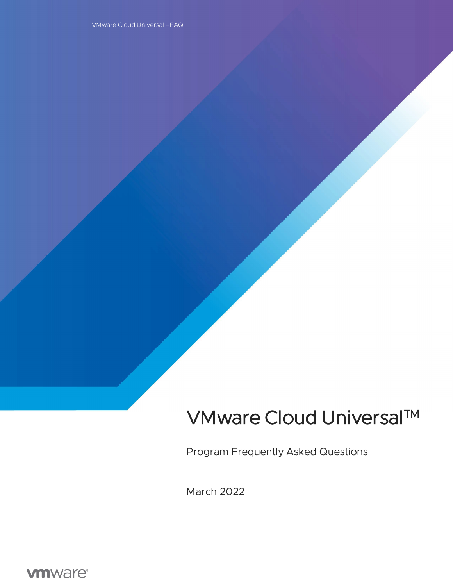# VMware Cloud Universal™

Program Frequently Asked Questions

March 2022

**vmware®**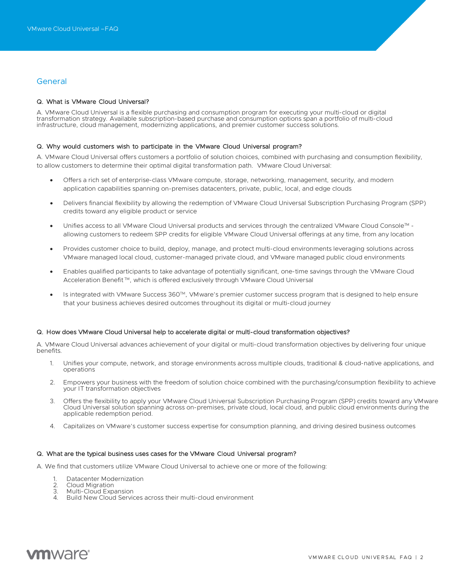# **General**

## Q. What is VMware Cloud Universal?

A. VMware Cloud Universal is a flexible purchasing and consumption program for executing your multi-cloud or digital transformation strategy. Available subscription-based purchase and consumption options span a portfolio of multi-cloud infrastructure, cloud management, modernizing applications, and premier customer success solutions.

#### Q. Why would customers wish to participate in the VMware Cloud Universal program?

A. VMware Cloud Universal offers customers a portfolio of solution choices, combined with purchasing and consumption flexibility, to allow customers to determine their optimal digital transformation path. VMware Cloud Universal:

- Offers a rich set of enterprise-class VMware compute, storage, networking, management, security, and modern application capabilities spanning on-premises datacenters, private, public, local, and edge clouds
- Delivers financial flexibility by allowing the redemption of VMware Cloud Universal Subscription Purchasing Program (SPP) credits toward any eligible product or service
- Unifies access to all VMware Cloud Universal products and services through the centralized VMware Cloud Console™ allowing customers to redeem SPP credits for eligible VMware Cloud Universal offerings at any time, from any location
- Provides customer choice to build, deploy, manage, and protect multi-cloud environments leveraging solutions across VMware managed local cloud, customer-managed private cloud, and VMware managed public cloud environments
- Enables qualified participants to take advantage of potentially significant, one-time savings through the VMware Cloud Acceleration Benefit<sup>™</sup>, which is offered exclusively through VMware Cloud Universal
- Is integrated with VMware Success 360™, VMware's premier customer success program that is designed to help ensure that your business achieves desired outcomes throughout its digital or multi-cloud journey

#### Q. How does VMware Cloud Universal help to accelerate digital or multi-cloud transformation objectives?

A. VMware Cloud Universal advances achievement of your digital or multi-cloud transformation objectives by delivering four unique benefits.

- 1. Unifies your compute, network, and storage environments across multiple clouds, traditional & cloud-native applications, and operations
- 2. Empowers your business with the freedom of solution choice combined with the purchasing/consumption flexibility to achieve your IT transformation objectives
- 3. Offers the flexibility to apply your VMware Cloud Universal Subscription Purchasing Program (SPP) credits toward any VMware Cloud Universal solution spanning across on-premises, private cloud, local cloud, and public cloud environments during the applicable redemption period.
- 4. Capitalizes on VMware's customer success expertise for consumption planning, and driving desired business outcomes

#### Q. What are the typical business uses cases for the VMware Cloud Universal program?

A. We find that customers utilize VMware Cloud Universal to achieve one or more of the following:

- Datacenter Modernization
- 2. Cloud Migration<br>3. Multi-Cloud Expa
- Multi-Cloud Expansion
- 4. Build New Cloud Services across their multi-cloud environment

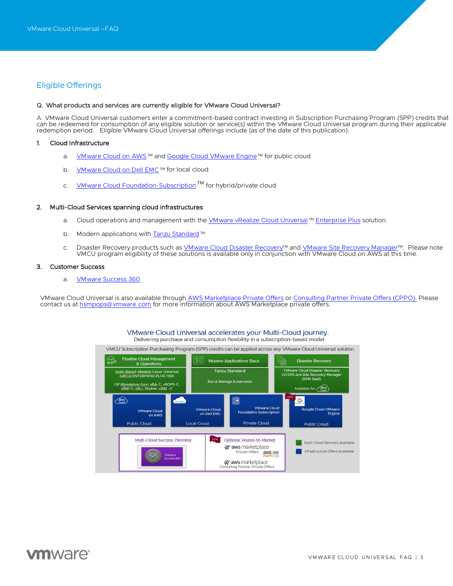# Eligible Offerings

#### Q. What products and services are currently eligible for VMware Cloud Universal?

A. VMware Cloud Universal customers enter a commitment-based contract investing in Subscription Purchasing Program (SPP) credits that can be redeemed for consumption of any eligible solution or service(s) within the VMware Cloud Universal program during their applicable redemption period. Eligible VMware Cloud Universal offerings include (as of the date of this publication):

#### 1. Cloud Infrastructure

- a. [VMware Cloud on AWS](https://www.vmware.com/products/vmc-on-aws.html)<sup>™</sup> and [Google Cloud VMware Engine](https://www.vmware.com/cloud-solutions/google-cloud.html)™ for public cloud
- b. [VMware Cloud on Dell EMC](https://www.vmware.com/products/vmc-on-dell-emc.html)™ for local cloud
- c. [VMware Cloud Foundation-Subscription](https://www.vmware.com/products/cloud-foundation.html)<sup>TM</sup> for hybrid/private cloud

#### 2. Multi-Cloud Services spanning cloud infrastructures

- a. Cloud operations and management with the [VMware vRealize Cloud Universal](https://www.vmware.com/products/vrealize-cloud-universal.html) ™ Enterprise Plus solution.
- b. Modern applications wit[h Tanzu Standard](https://vault.vmware.com/group/vault-main-library/tanzu-standard-edition) ™
- c. Disaster Recovery products such a[s VMware Cloud Disaster Recovery](https://www.vmware.com/products/cloud-disaster-recovery.html)<sup>™</sup> and [VMware Site Recovery Manager](https://www.vmware.com/products/site-recovery-manager.html)<sup>™</sup>. Please note VMCU program eligibility of these solutions is available only in conjunction with VMware Cloud on AWS at this time.

#### 3. Customer Success

a. [VMware Success 360](https://www.vmware.com/customer-success.html)

VMware Cloud Universal is also available through [AWS Marketplace](https://aws.amazon.com/marketplace) [Private Offers](https://docs.aws.amazon.com/marketplace/latest/userguide/private-offers-overview.html) o[r Consulting Partner Private Offers \(CPPO\).](https://aws.amazon.com/marketplace/features/cpprivateoffers) Please contact us a[t hsmpops@vmware.com](mailto:hsmpops@vmware.com) for more information about AWS Marketplace private offers.

#### VMware Cloud Universal accelerates your Multi-Cloud journey. Delivering purchase and consumption flexibility in a subscription-based model

VMCU Subscription Purchasing Program (SPP) credits can be applied across any VMware Cloud Universal solution.



# **ym**ware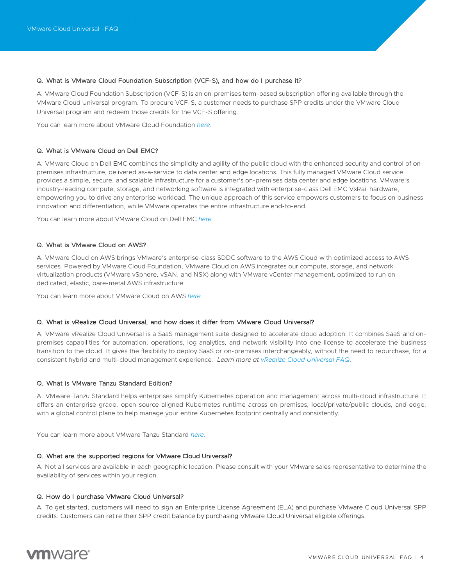# Q. What is VMware Cloud Foundation Subscription (VCF-S), and how do I purchase it?

A. VMware Cloud Foundation Subscription (VCF-S) is an on-premises term-based subscription offering available through the VMware Cloud Universal program. To procure VCF-S, a customer needs to purchase SPP credits under the VMware Cloud Universal program and redeem those credits for the VCF-S offering.

You can learn more about VMware Cloud Foundation *[here.](https://www.vmware.com/products/cloud-foundation.html)*

# Q. What is VMware Cloud on Dell EMC?

A. VMware Cloud on Dell EMC combines the simplicity and agility of the public cloud with the enhanced security and control of onpremises infrastructure, delivered as-a-service to data center and edge locations. This fully managed VMware Cloud service provides a simple, secure, and scalable infrastructure for a customer's on-premises data center and edge locations. VMware's industry-leading compute, storage, and networking software is integrated with enterprise-class Dell EMC VxRail hardware, empowering you to drive any enterprise workload. The unique approach of this service empowers customers to focus on business innovation and differentiation, while VMware operates the entire infrastructure end-to-end.

You can learn more about VMware Cloud on Dell EMC *[here](https://www.vmware.com/products/vmc-on-dell-emc.html)*.

# Q. What is VMware Cloud on AWS?

A. VMware Cloud on AWS brings VMware's enterprise-class SDDC software to the AWS Cloud with optimized access to AWS services. Powered by VMware Cloud Foundation, VMware Cloud on AWS integrates our compute, storage, and network virtualization products (VMware vSphere, vSAN, and NSX) along with VMware vCenter management, optimized to run on dedicated, elastic, bare-metal AWS infrastructure.

You can learn more about VMware Cloud on AWS *[here.](https://cloud.vmware.com/vmc-aws)*

#### Q. What is vRealize Cloud Universal, and how does it differ from VMware Cloud Universal?

A. VMware vRealize Cloud Universal is a SaaS management suite designed to accelerate cloud adoption. It combines SaaS and onpremises capabilities for automation, operations, log analytics, and network visibility into one license to accelerate the business transition to the cloud. It gives the flexibility to deploy SaaS or on-premises interchangeably, without the need to repurchase, for a consistent hybrid and multi-cloud management experience*. Learn more at vRealize Cloud Universal FAQ*.

## Q. What is VMware Tanzu Standard Edition?

A. VMware Tanzu Standard helps enterprises simplify Kubernetes operation and management across multi-cloud infrastructure. It offers an enterprise-grade, open-source aligned Kubernetes runtime across on-premises, local/private/public clouds, and edge, with a global control plane to help manage your entire Kubernetes footprint centrally and consistently.

You can learn more about VMware Tanzu Standard *[here.](https://tanzu.vmware.com/tanzu/standard)*

#### Q. What are the supported regions for VMware Cloud Universal?

A. Not all services are available in each geographic location. Please consult with your VMware sales representative to determine the availability of services within your region.

#### Q. How do I purchase VMware Cloud Universal?

A. To get started, customers will need to sign an Enterprise License Agreement (ELA) and purchase VMware Cloud Universal SPP credits. Customers can retire their SPP credit balance by purchasing VMware Cloud Universal eligible offerings.

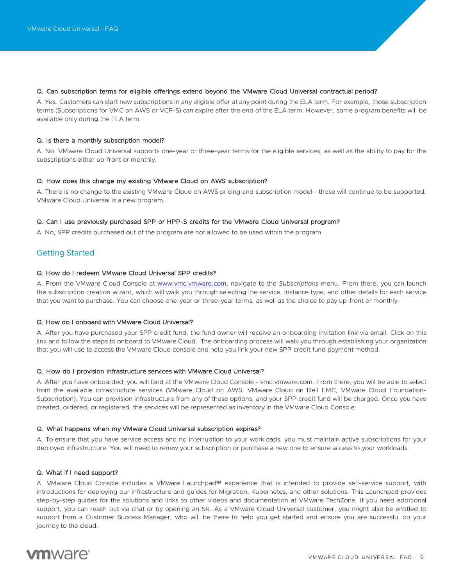## Q. Can subscription terms for eligible offerings extend beyond the VMware Cloud Universal contractual period?

A. Yes. Customers can start new subscriptions in any eligible offer at any point during the ELA term. For example, those subscription terms (Subscriptions for VMC on AWS or VCF-S) can expire after the end of the ELA term. However, some program benefits will be available only during the ELA term.

#### Q. Is there a monthly subscription model?

A. No. VMware Cloud Universal supports one-year or three-year terms for the eligible services, as well as the ability to pay for the subscriptions either up-front or monthly.

#### Q. How does this change my existing VMware Cloud on AWS subscription?

A. There is no change to the existing VMware Cloud on AWS pricing and subscription model - those will continue to be supported. VMware Cloud Universal is a new program.

#### Q. Can I use previously purchased SPP or HPP-S credits for the VMware Cloud Universal program?

A. No, SPP credits purchased out of the program are not allowed to be used within the program

# Getting Started

# Q. How do I redeem VMware Cloud Universal SPP credits?

A. From the VMware Cloud Console at [www.vmc.vmware.com,](http://www.vmc.vmware.com/) navigate to the *Subscriptions* menu. From there, you can launch the subscription creation wizard, which will walk you through selecting the service, instance type, and other details for each service that you want to purchase. You can choose one-year or three-year terms, as well as the choice to pay up-front or monthly.

#### Q. How do I onboard with VMware Cloud Universal?

A. After you have purchased your SPP credit fund, the fund owner will receive an onboarding invitation link via email. Click on this link and follow the steps to onboard to VMware Cloud. The onboarding process will walk you through establishing your organization that you will use to access the VMware Cloud console and help you link your new SPP credit fund payment method.

#### Q. How do I provision infrastructure services with VMware Cloud Universal?

A. After you have onboarded, you will land at the VMware Cloud Console - vmc.vmware.com. From there, you will be able to select from the available infrastructure services (VMware Cloud on AWS, VMware Cloud on Dell EMC, VMware Cloud Foundation-Subscription). You can provision infrastructure from any of these options, and your SPP credit fund will be charged. Once you have created, ordered, or registered, the services will be represented as inventory in the VMware Cloud Console.

#### Q. What happens when my VMware Cloud Universal subscription expires?

A. To ensure that you have service access and no interruption to your workloads, you must maintain active subscriptions for your deployed infrastructure. You will need to renew your subscription or purchase a new one to ensure access to your workloads.

#### Q. What if I need support?

A. VMware Cloud Console includes a VMware Launchpad™ experience that is intended to provide self-service support, with introductions for deploying our infrastructure and guides for Migration, Kubernetes, and other solutions. This Launchpad provides step-by-step guides for the solutions and links to other videos and documentation at VMware TechZone. If you need additional support, you can reach out via chat or by opening an SR. As a VMware Cloud Universal customer, you might also be entitled to support from a Customer Success Manager, who will be there to help you get started and ensure you are successful on your journey to the cloud.

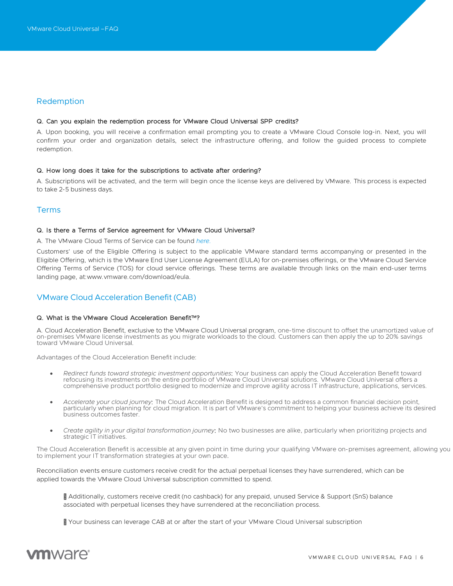# Redemption

#### Q. Can you explain the redemption process for VMware Cloud Universal SPP credits?

A. Upon booking, you will receive a confirmation email prompting you to create a VMware Cloud Console log-in. Next, you will confirm your order and organization details, select the infrastructure offering, and follow the guided process to complete redemption.

#### Q. How long does it take for the subscriptions to activate after ordering?

A. Subscriptions will be activated, and the term will begin once the license keys are delivered by VMware. This process is expected to take 2-5 business days.

# Terms

#### Q. Is there a Terms of Service agreement for VMware Cloud Universal?

A. The VMware Cloud Terms of Service can be found *[here.](https://www.vmware.com/content/dam/digitalmarketing/vmware/en/pdf/downloads/eula/vmware-cloud-services-universal-tos.pdf)*

Customers' use of the Eligible Offering is subject to the applicable VMware standard terms accompanying or presented in the Eligible Offering, which is the VMware End User License Agreement (EULA) for on-premises offerings, or the VMware Cloud Service Offering Terms of Service (TOS) for cloud service offerings. These terms are available through links on the main end-user terms landing page, a[t:www.vmware.com/download/eula.](http://www.vmware.com/download/eula)

# VMware Cloud Acceleration Benefit(CAB)

# Q. What is the VMware Cloud Acceleration Benefit<sup>™?</sup>

A. Cloud Acceleration Benefit, exclusive to the VMware Cloud Universal program, one-time discount to offset the unamortized value of on-premises VMware license investments as you migrate workloads to the cloud. Customers can then apply the up to 20% savings toward VMware Cloud Universal.

Advantages of the Cloud Acceleration Benefit include:

- *Redirect funds toward strategic investment opportunities*: Your business can apply the Cloud Acceleration Benefit toward refocusing its investments on the entire portfolio of VMware Cloud Universal solutions. VMware Cloud Universal offers a comprehensive product portfolio designed to modernize and improve agility across IT infrastructure, applications, services.
- *Accelerate your cloud journey*: The Cloud Acceleration Benefit is designed to address a common financial decision point, particularly when planning for cloud migration. It is part of VMware's commitment to helping your business achieve its desired business outcomes faster.
- *Create agility in your digital transformation journey*: No two businesses are alike, particularly when prioritizing projects and strategic IT initiatives.

The Cloud Acceleration Benefit is accessible at any given point in time during your qualifying VMware on-premises agreement, allowing you to implement your IT transformation strategies at your own pace.

Reconciliation events ensure customers receive credit for the actual perpetual licenses they have surrendered, which can be applied towards the VMware Cloud Universal subscription committed to spend.

- Additionally, customers receive credit (no cashback) for any prepaid, unused Service & Support (SnS) balance associated with perpetual licenses they have surrendered at the reconciliation process.
- Your business can leverage CAB at or after the start of your VMware Cloud Universal subscription

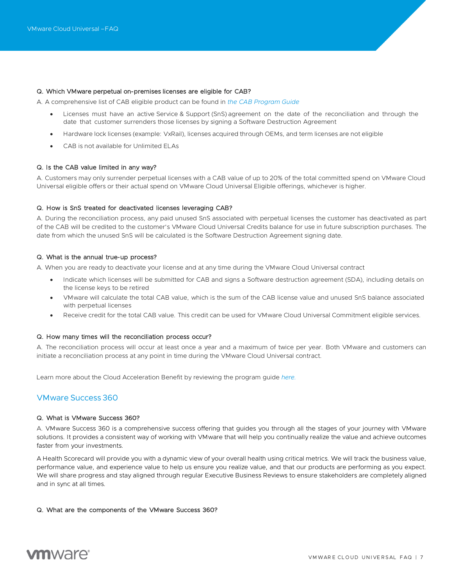#### Q. Which VMware perpetual on-premises licenses are eligible for CAB?

A. A comprehensive list of CAB eligible product can be found in *[the](https://cloud.vmware.com/TBD) CAB [Program](https://www.vmware.com/content/dam/digitalmarketing/vmware/en/pdf/products/vmware-cloud-acceleration-benefit-program-guide.pdf) Guide*

- Licenses must have an active Service & Support (SnS) agreement on the date of the reconciliation and through the date that customer surrenders those licenses by signing a Software Destruction Agreement
- Hardware lock licenses (example: VxRail), licenses acquired through OEMs, and term licenses are not eligible
- CAB is not available for Unlimited ELAs

#### Q. Is the CAB value limited in any way?

A. Customers may only surrender perpetual licenses with a CAB value of up to 20% of the total committed spend on VMware Cloud Universal eligible offers or their actual spend on VMware Cloud Universal Eligible offerings, whichever is higher.

#### Q. How is SnS treated for deactivated licenses leveraging CAB?

A. During the reconciliation process, any paid unused SnS associated with perpetual licenses the customer has deactivated as part of the CAB will be credited to the customer's VMware Cloud Universal Credits balance for use in future subscription purchases. The date from which the unused SnS will be calculated is the Software Destruction Agreement signing date.

#### Q. What is the annual true-up process?

A. When you are ready to deactivate your license and at any time during the VMware Cloud Universal contract

- Indicate which licenses will be submitted for CAB and signs a Software destruction agreement (SDA), including details on the license keys to be retired
- VMware will calculate the total CAB value, which is the sum of the CAB license value and unused SnS balance associated with perpetual licenses
- Receive credit for the total CAB value. This credit can be used for VMware Cloud Universal Commitment eligible services.

#### Q. How many times will the reconciliation process occur?

A. The reconciliation process will occur at least once a year and a maximum of twice per year. Both VMware and customers can initiate a reconciliation process at any point in time during the VMware Cloud Universal contract.

Learn more about the Cloud Acceleration Benefit by reviewing the program guide *[here.](https://www.vmware.com/content/dam/digitalmarketing/vmware/en/pdf/products/vmware-cloud-acceleration-benefit-program-guide.pdf)*

# VMware Success 360

#### Q. What is VMware Success 360?

A. VMware Success 360 is a comprehensive success offering that guides you through all the stages of your journey with VMware solutions. It provides a consistent way of working with VMware that will help you continually realize the value and achieve outcomes faster from your investments.

A Health Scorecard will provide you with a dynamic view of your overall health using critical metrics. We will track the business value, performance value, and experience value to help us ensure you realize value, and that our products are performing as you expect. We will share progress and stay aligned through regular Executive Business Reviews to ensure stakeholders are completely aligned and in sync at all times.

#### Q. What are the components of the VMware Success 360?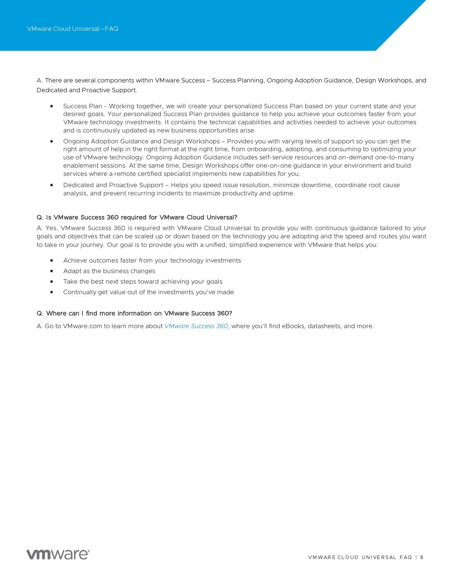A. There are several components within VMware Success – Success Planning, Ongoing Adoption Guidance, Design Workshops, and Dedicated and Proactive Support.

- Success Plan Working together, we will create your personalized Success Plan based on your current state and your desired goals. Your personalized Success Plan provides guidance to help you achieve your outcomes faster from your VMware technology investments. It contains the technical capabilities and activities needed to achieve your outcomes and is continuously updated as new business opportunities arise.
- Ongoing Adoption Guidance and Design Workshops Provides you with varying levels of support so you can get the right amount of help in the right format at the right time, from onboarding, adopting, and consuming to optimizing your use of VMware technology. Ongoing Adoption Guidance includes self-service resources and on-demand one-to-many enablement sessions. At the same time, Design Workshops offer one-on-one guidance in your environment and build services where a remote certified specialist implements new capabilities for you.
- Dedicated and Proactive Support Helps you speed issue resolution, minimize downtime, coordinate root cause analysis, and prevent recurring incidents to maximize productivity and uptime.

#### Q. Is VMware Success 360 required for VMware Cloud Universal?

A. Yes. VMware Success 360 is required with VMware Cloud Universal to provide you with continuous guidance tailored to your goals and objectives that can be scaled up or down based on the technology you are adopting and the speed and routes you want to take in your journey. Our goal is to provide you with a unified, simplified experience with VMware that helps you:

- Achieve outcomes faster from your technology investments
- Adapt as the business changes
- Take the best next steps toward achieving your goals
- Continually get value out of the investments you've made

# Q. Where can I find more information on VMware Success 360?

A. Go to VMware.com to learn more about *[VMware](https://www.vmware.com/customer-success/success-360.html) Success 360,* where you'll find eBooks, datasheets, and more.

# **vm**ware<sup>®</sup>